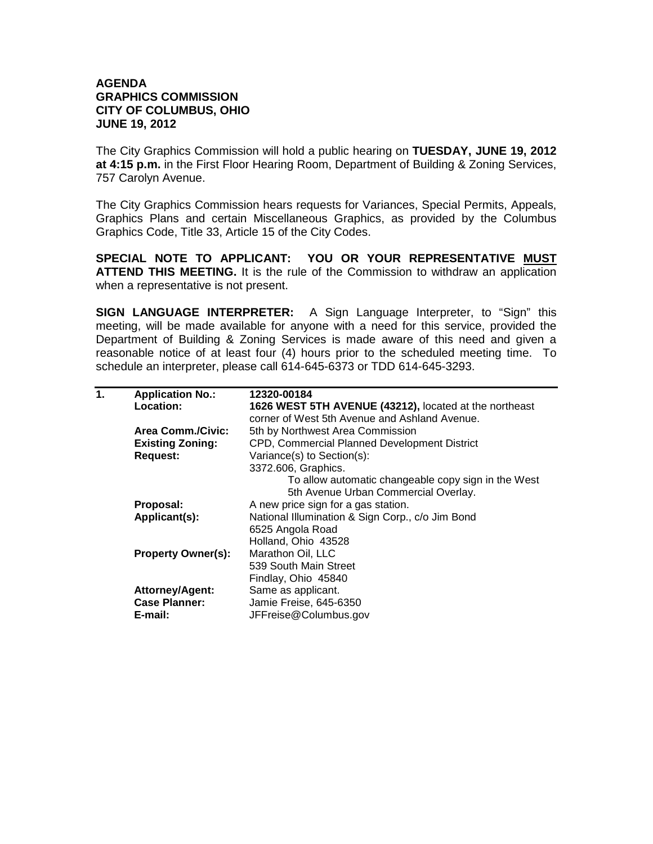## **AGENDA GRAPHICS COMMISSION CITY OF COLUMBUS, OHIO JUNE 19, 2012**

The City Graphics Commission will hold a public hearing on **TUESDAY, JUNE 19, 2012 at 4:15 p.m.** in the First Floor Hearing Room, Department of Building & Zoning Services, 757 Carolyn Avenue.

The City Graphics Commission hears requests for Variances, Special Permits, Appeals, Graphics Plans and certain Miscellaneous Graphics, as provided by the Columbus Graphics Code, Title 33, Article 15 of the City Codes.

**SPECIAL NOTE TO APPLICANT: YOU OR YOUR REPRESENTATIVE MUST ATTEND THIS MEETING.** It is the rule of the Commission to withdraw an application when a representative is not present.

**SIGN LANGUAGE INTERPRETER:** A Sign Language Interpreter, to "Sign" this meeting, will be made available for anyone with a need for this service, provided the Department of Building & Zoning Services is made aware of this need and given a reasonable notice of at least four (4) hours prior to the scheduled meeting time. To schedule an interpreter, please call 614-645-6373 or TDD 614-645-3293.

| 1. | <b>Application No.:</b>   | 12320-00184                                            |
|----|---------------------------|--------------------------------------------------------|
|    | Location:                 | 1626 WEST 5TH AVENUE (43212), located at the northeast |
|    |                           | corner of West 5th Avenue and Ashland Avenue.          |
|    | <b>Area Comm./Civic:</b>  | 5th by Northwest Area Commission                       |
|    | <b>Existing Zoning:</b>   | CPD, Commercial Planned Development District           |
|    | <b>Request:</b>           | Variance(s) to Section(s):                             |
|    |                           | 3372.606, Graphics.                                    |
|    |                           | To allow automatic changeable copy sign in the West    |
|    |                           | 5th Avenue Urban Commercial Overlay.                   |
|    | Proposal:                 | A new price sign for a gas station.                    |
|    | Applicant(s):             | National Illumination & Sign Corp., c/o Jim Bond       |
|    |                           | 6525 Angola Road                                       |
|    |                           | Holland, Ohio 43528                                    |
|    | <b>Property Owner(s):</b> | Marathon Oil, LLC                                      |
|    |                           | 539 South Main Street                                  |
|    |                           | Findlay, Ohio 45840                                    |
|    | Attorney/Agent:           | Same as applicant.                                     |
|    | <b>Case Planner:</b>      | Jamie Freise, 645-6350                                 |
|    | E-mail:                   | JFFreise@Columbus.gov                                  |
|    |                           |                                                        |